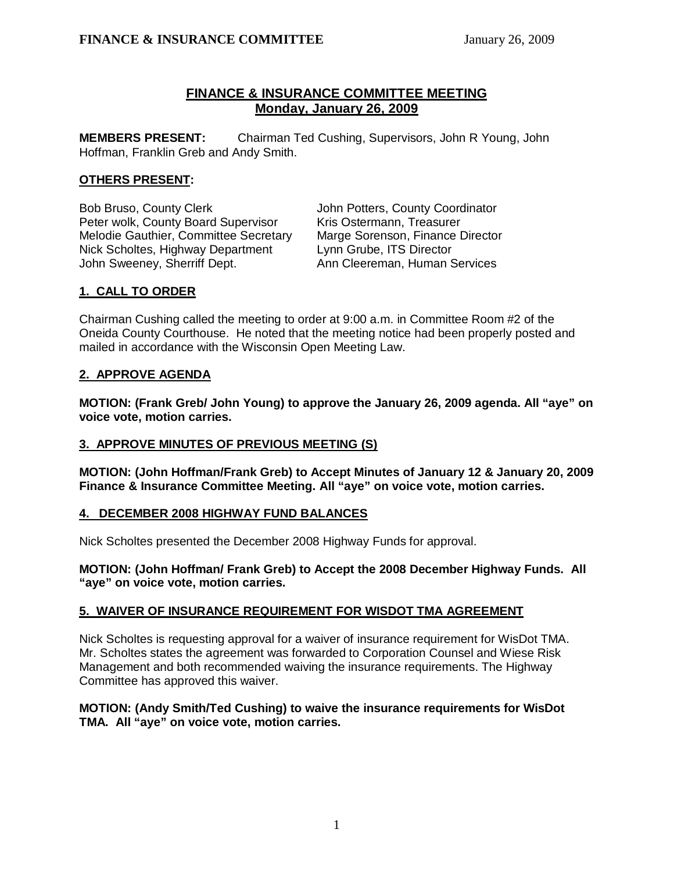# **FINANCE & INSURANCE COMMITTEE MEETING Monday, January 26, 2009**

**MEMBERS PRESENT:** Chairman Ted Cushing, Supervisors, John R Young, John Hoffman, Franklin Greb and Andy Smith.

## **OTHERS PRESENT:**

Bob Bruso, County Clerk **John Potters, County Coordinator** Peter wolk, County Board Supervisor Kris Ostermann, Treasurer Melodie Gauthier, Committee Secretary Marge Sorenson, Finance Director Nick Scholtes, Highway Department Lynn Grube, ITS Director John Sweeney, Sherriff Dept. Ann Cleereman, Human Services

# **1. CALL TO ORDER**

Chairman Cushing called the meeting to order at 9:00 a.m. in Committee Room #2 of the Oneida County Courthouse. He noted that the meeting notice had been properly posted and mailed in accordance with the Wisconsin Open Meeting Law.

# **2. APPROVE AGENDA**

**MOTION: (Frank Greb/ John Young) to approve the January 26, 2009 agenda. All "aye" on voice vote, motion carries.** 

# **3. APPROVE MINUTES OF PREVIOUS MEETING (S)**

**MOTION: (John Hoffman/Frank Greb) to Accept Minutes of January 12 & January 20, 2009 Finance & Insurance Committee Meeting. All "aye" on voice vote, motion carries.** 

# **4. DECEMBER 2008 HIGHWAY FUND BALANCES**

Nick Scholtes presented the December 2008 Highway Funds for approval.

**MOTION: (John Hoffman/ Frank Greb) to Accept the 2008 December Highway Funds. All "aye" on voice vote, motion carries.**

# **5. WAIVER OF INSURANCE REQUIREMENT FOR WISDOT TMA AGREEMENT**

Nick Scholtes is requesting approval for a waiver of insurance requirement for WisDot TMA. Mr. Scholtes states the agreement was forwarded to Corporation Counsel and Wiese Risk Management and both recommended waiving the insurance requirements. The Highway Committee has approved this waiver.

## **MOTION: (Andy Smith/Ted Cushing) to waive the insurance requirements for WisDot TMA. All "aye" on voice vote, motion carries.**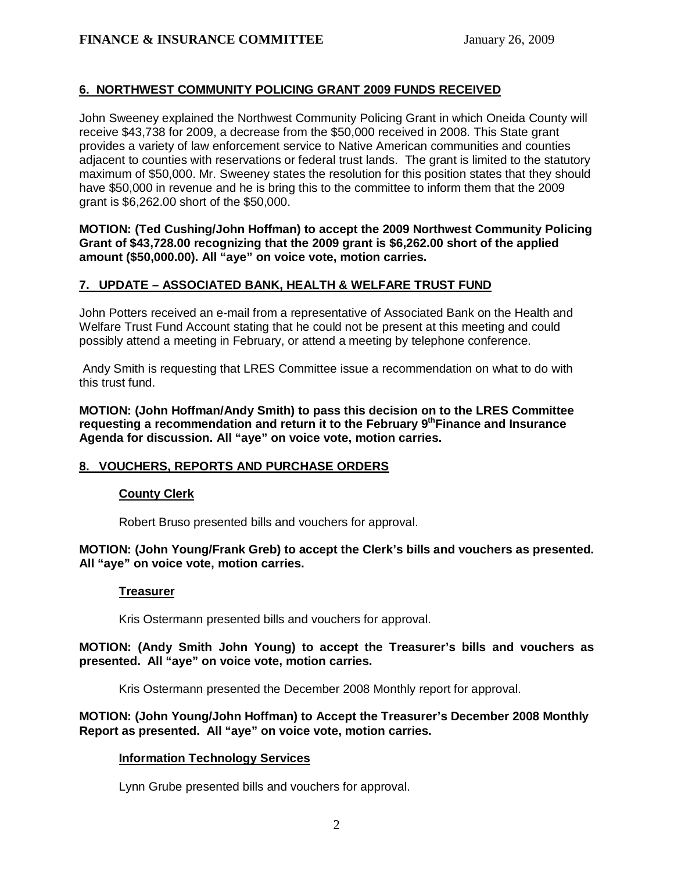# **6. NORTHWEST COMMUNITY POLICING GRANT 2009 FUNDS RECEIVED**

John Sweeney explained the Northwest Community Policing Grant in which Oneida County will receive \$43,738 for 2009, a decrease from the \$50,000 received in 2008. This State grant provides a variety of law enforcement service to Native American communities and counties adjacent to counties with reservations or federal trust lands. The grant is limited to the statutory maximum of \$50,000. Mr. Sweeney states the resolution for this position states that they should have \$50,000 in revenue and he is bring this to the committee to inform them that the 2009 grant is \$6,262.00 short of the \$50,000.

**MOTION: (Ted Cushing/John Hoffman) to accept the 2009 Northwest Community Policing Grant of \$43,728.00 recognizing that the 2009 grant is \$6,262.00 short of the applied amount (\$50,000.00). All "aye" on voice vote, motion carries.** 

# **7. UPDATE – ASSOCIATED BANK, HEALTH & WELFARE TRUST FUND**

John Potters received an e-mail from a representative of Associated Bank on the Health and Welfare Trust Fund Account stating that he could not be present at this meeting and could possibly attend a meeting in February, or attend a meeting by telephone conference.

 Andy Smith is requesting that LRES Committee issue a recommendation on what to do with this trust fund.

 **MOTION: (John Hoffman/Andy Smith) to pass this decision on to the LRES Committee**  requesting a recommendation and return it to the February 9<sup>th</sup> Finance and Insurance **Agenda for discussion. All "aye" on voice vote, motion carries.** 

# **8. VOUCHERS, REPORTS AND PURCHASE ORDERS**

# **County Clerk**

Robert Bruso presented bills and vouchers for approval.

## **MOTION: (John Young/Frank Greb) to accept the Clerk's bills and vouchers as presented. All "aye" on voice vote, motion carries.**

#### **Treasurer**

Kris Ostermann presented bills and vouchers for approval.

## **MOTION: (Andy Smith John Young) to accept the Treasurer's bills and vouchers as presented. All "aye" on voice vote, motion carries.**

Kris Ostermann presented the December 2008 Monthly report for approval.

## **MOTION: (John Young/John Hoffman) to Accept the Treasurer's December 2008 Monthly Report as presented. All "aye" on voice vote, motion carries.**

# **Information Technology Services**

Lynn Grube presented bills and vouchers for approval.